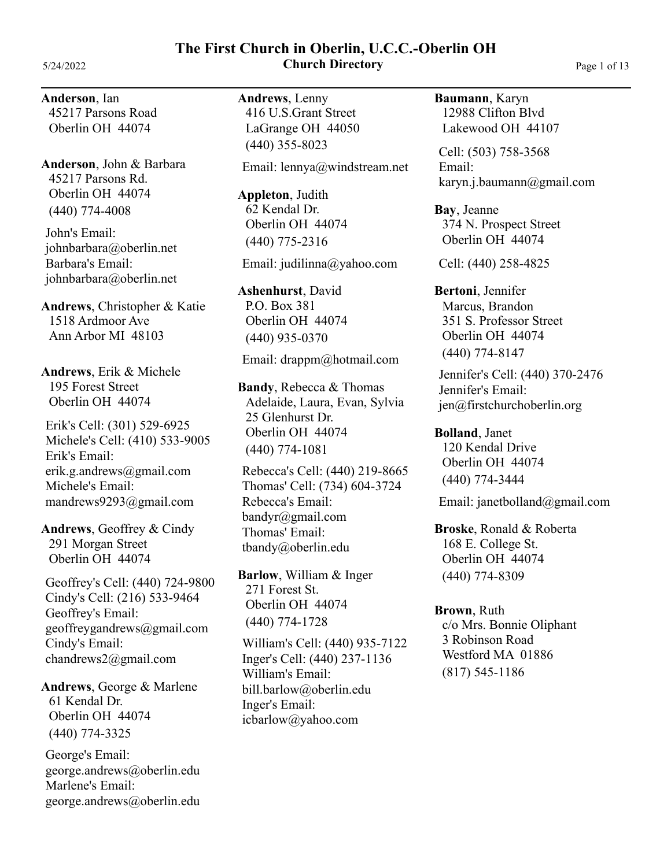# **The First Church in Oberlin, U.C.C.-Oberlin OH** 5/24/2022 **Church Directory** Page 1 of 13

**Anderson**, Ian 45217 Parsons Road Oberlin OH 44074

**Anderson**, John & Barbara (440) 774-4008 45217 Parsons Rd. Oberlin OH 44074

John's Email: johnbarbara@oberlin.net Barbara's Email: johnbarbara@oberlin.net

**Andrews**, Christopher & Katie 1518 Ardmoor Ave Ann Arbor MI 48103

**Andrews**, Erik & Michele 195 Forest Street Oberlin OH 44074

Erik's Cell: (301) 529-6925 Erik's Email: erik.g.andrews@gmail.com Michele's Email: mandrews9293@gmail.com Michele's Cell: (410) 533-9005

**Andrews**, Geoffrey & Cindy 291 Morgan Street Oberlin OH 44074

Geoffrey's Cell: (440) 724-9800 Geoffrey's Email: geoffreygandrews@gmail.com Cindy's Email: chandrews2@gmail.com Cindy's Cell: (216) 533-9464

**Andrews**, George & Marlene (440) 774-3325 61 Kendal Dr. Oberlin OH 44074

George's Email: george.andrews@oberlin.edu Marlene's Email: george.andrews@oberlin.edu **Andrews**, Lenny (440) 355-8023 416 U.S.Grant Street LaGrange OH 44050

Email: lennya@windstream.net

**Appleton**, Judith (440) 775-2316 62 Kendal Dr. Oberlin OH 44074

Email: judilinna@yahoo.com

**Ashenhurst**, David (440) 935-0370 P.O. Box 381 Oberlin OH 44074

### Email: drappm@hotmail.com

**Bandy**, Rebecca & Thomas Adelaide, Laura, Evan, Sylvia (440) 774-1081 25 Glenhurst Dr. Oberlin OH 44074

Rebecca's Cell: (440) 219-8665 Rebecca's Email: bandyr@gmail.com Thomas' Email: tbandy@oberlin.edu Thomas' Cell: (734) 604-3724

**Barlow**, William & Inger (440) 774-1728 271 Forest St. Oberlin OH 44074

William's Cell: (440) 935-7122 William's Email: bill.barlow@oberlin.edu Inger's Email: icbarlow@yahoo.com Inger's Cell: (440) 237-1136

**Baumann**, Karyn 12988 Clifton Blvd Lakewood OH 44107

Cell: (503) 758-3568 Email: karyn.j.baumann@gmail.com

**Bay**, Jeanne 374 N. Prospect Street Oberlin OH 44074

Cell: (440) 258-4825

**Bertoni**, Jennifer Marcus, Brandon (440) 774-8147 351 S. Professor Street Oberlin OH 44074

Jennifer's Cell: (440) 370-2476 Jennifer's Email: jen@firstchurchoberlin.org

**Bolland**, Janet (440) 774-3444 120 Kendal Drive Oberlin OH 44074

Email: janetbolland@gmail.com

**Broske**, Ronald & Roberta (440) 774-8309 168 E. College St. Oberlin OH 44074

**Brown**, Ruth (817) 545-1186 c/o Mrs. Bonnie Oliphant 3 Robinson Road Westford MA 01886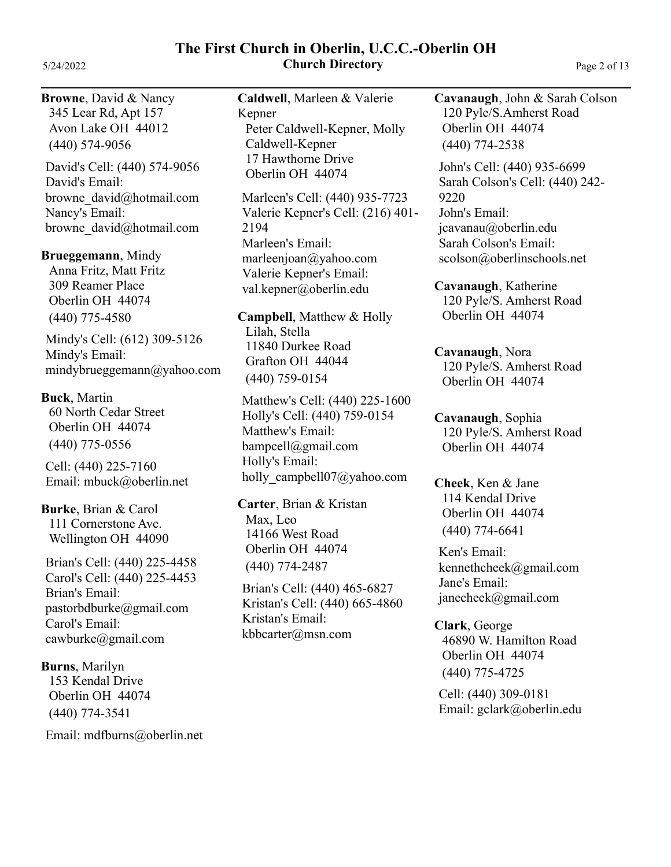### **The First Church in Oberlin, U.C.C.-Oberlin OH** 5/24/2022 **Church Directory** Page 2 of 13

### **Browne**, David & Nancy

(440) 574-9056 345 Lear Rd, Apt 157 Avon Lake OH 44012

David's Cell: (440) 574-9056 David's Email: browne\_david@hotmail.com Nancy's Email: browne\_david@hotmail.com

### **Brueggemann**, Mindy

Anna Fritz, Matt Fritz (440) 775-4580 309 Reamer Place Oberlin OH 44074

Mindy's Cell: (612) 309-5126 Mindy's Email: mindybrueggemann@yahoo.com

# **Buck**, Martin

(440) 775-0556 60 North Cedar Street Oberlin OH 44074

Cell: (440) 225-7160 Email: mbuck@oberlin.net

**Burke**, Brian & Carol 111 Cornerstone Ave. Wellington OH 44090

Brian's Cell: (440) 225-4458 Brian's Email: pastorbdburke@gmail.com Carol's Email: cawburke@gmail.com Carol's Cell: (440) 225-4453

**Burns**, Marilyn (440) 774-3541 153 Kendal Drive Oberlin OH 44074

Email: mdfburns@oberlin.net

**Caldwell**, Marleen & Valerie Kepner Peter Caldwell-Kepner, Molly Caldwell-Kepner 17 Hawthorne Drive Oberlin OH 44074

Marleen's Cell: (440) 935-7723 Marleen's Email: marleenjoan@yahoo.com Valerie Kepner's Email: val.kepner@oberlin.edu Valerie Kepner's Cell: (216) 401- 2194

**Campbell**, Matthew & Holly Lilah, Stella (440) 759-0154 11840 Durkee Road Grafton OH 44044

Matthew's Cell: (440) 225-1600 Matthew's Email: bampcell@gmail.com Holly's Email: holly\_campbell07@yahoo.com Holly's Cell: (440) 759-0154

**Carter**, Brian & Kristan Max, Leo (440) 774-2487 14166 West Road Oberlin OH 44074

Brian's Cell: (440) 465-6827 Kristan's Email: kbbcarter@msn.com Kristan's Cell: (440) 665-4860 **Cavanaugh**, John & Sarah Colson (440) 774-2538 120 Pyle/S.Amherst Road Oberlin OH 44074

John's Cell: (440) 935-6699 John's Email: jcavanau@oberlin.edu Sarah Colson's Email: scolson@oberlinschools.net Sarah Colson's Cell: (440) 242- 9220

**Cavanaugh**, Katherine 120 Pyle/S. Amherst Road Oberlin OH 44074

**Cavanaugh**, Nora 120 Pyle/S. Amherst Road Oberlin OH 44074

**Cavanaugh**, Sophia 120 Pyle/S. Amherst Road Oberlin OH 44074

**Cheek**, Ken & Jane (440) 774-6641 114 Kendal Drive Oberlin OH 44074

Ken's Email: kennethcheek@gmail.com Jane's Email: janecheek@gmail.com

**Clark**, George (440) 775-4725 46890 W. Hamilton Road Oberlin OH 44074

Cell: (440) 309-0181 Email: gclark@oberlin.edu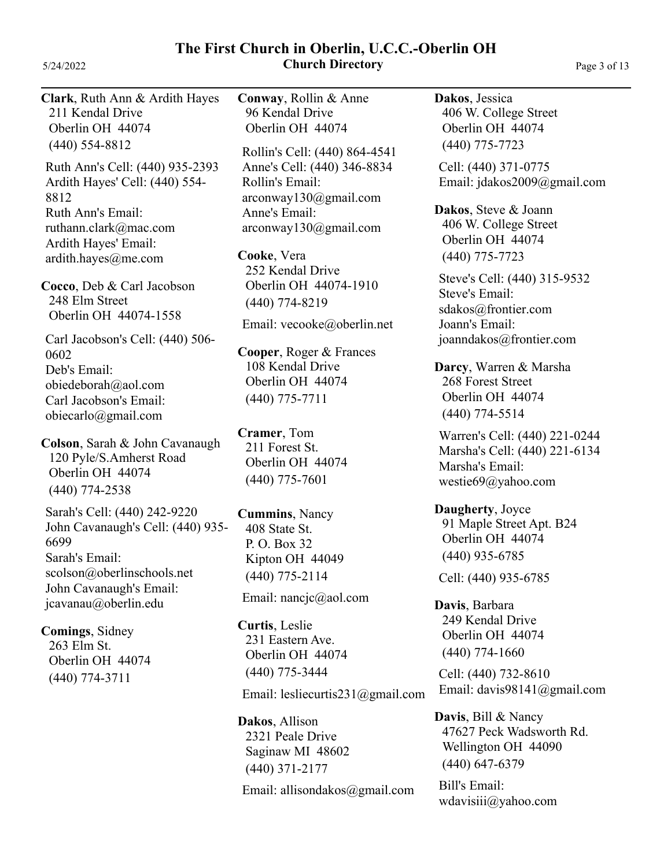### **The First Church in Oberlin, U.C.C.-Oberlin OH** 5/24/2022 **Church Directory** Page 3 of 13

**Clark**, Ruth Ann & Ardith Hayes Ruth Ann's Cell: (440) 935-2393 Ruth Ann's Email: ruthann.clark@mac.com Ardith Hayes' Email: ardith.hayes@me.com Ardith Hayes' Cell: (440) 554- 8812 (440) 554-8812 211 Kendal Drive Oberlin OH 44074 **Cocco**, Deb & Carl Jacobson Deb's Email: obiedeborah@aol.com Carl Jacobson's Email: obiecarlo@gmail.com Carl Jacobson's Cell: (440) 506- 0602 248 Elm Street Oberlin OH 44074-1558 **Colson**, Sarah & John Cavanaugh Sarah's Cell: (440) 242-9220 Sarah's Email: scolson@oberlinschools.net John Cavanaugh's Email: jcavanau@oberlin.edu John Cavanaugh's Cell: (440) 935- 6699 (440) 774-2538 120 Pyle/S.Amherst Road Oberlin OH 44074 **Comings**, Sidney (440) 774-3711 263 Elm St. Oberlin OH 44074 **Conway**, Rollin & Anne Rollin's Cell: (440) 864-4541 Rollin's Email: arconway130@gmail.com Anne's Email: arconway130@gmail.com Anne's Cell: (440) 346-8834 96 Kendal Drive Oberlin OH 44074 **Cooke**, Vera Email: vecooke@oberlin.net (440) 774-8219 252 Kendal Drive Oberlin OH 44074-1910 **Cooper**, Roger & Frances (440) 775-7711 108 Kendal Drive Oberlin OH 44074 **Cramer**, Tom (440) 775-7601 211 Forest St. Oberlin OH 44074 **Cummins**, Nancy Email: nancjc@aol.com (440) 775-2114 408 State St. P. O. Box 32 Kipton OH 44049 **Curtis**, Leslie Email: lesliecurtis231@gmail.com (440) 775-3444 231 Eastern Ave. Oberlin OH 44074 **Dakos**, Jessica Cell: (440) 371-0775 Email: jdakos2009@gmail.com (440) 775-7723 406 W. College Street Oberlin OH 44074 **Dakos**, Steve & Joann Steve's Cell: (440) 315-9532 Steve's Email: sdakos@frontier.com Joann's Email: joanndakos@frontier.com (440) 775-7723 406 W. College Street Oberlin OH 44074 **Darcy**, Warren & Marsha Warren's Cell: (440) 221-0244 Marsha's Email: westie69@yahoo.com Marsha's Cell: (440) 221-6134 (440) 774-5514 268 Forest Street Oberlin OH 44074 **Daugherty**, Joyce Cell: (440) 935-6785 (440) 935-6785 91 Maple Street Apt. B24 Oberlin OH 44074 **Davis**, Barbara Cell: (440) 732-8610 Email: davis98141@gmail.com (440) 774-1660 249 Kendal Drive Oberlin OH 44074

**Dakos**, Allison

(440) 371-2177

2321 Peale Drive Saginaw MI 48602

Email: allisondakos@gmail.com

**Davis**, Bill & Nancy (440) 647-6379 47627 Peck Wadsworth Rd. Wellington OH 44090

Bill's Email: wdavisiii@yahoo.com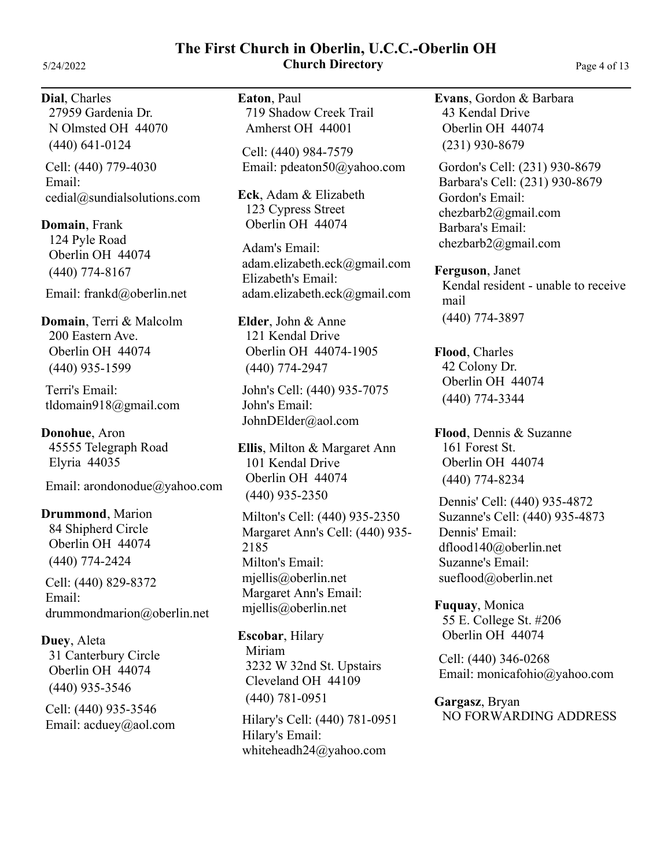# **The First Church in Oberlin, U.C.C.-Oberlin OH** 5/24/2022 **Church Directory** Page 4 of 13

### **Dial**, Charles (440) 641-0124 27959 Gardenia Dr. N Olmsted OH 44070

Cell: (440) 779-4030 Email: cedial@sundialsolutions.com

**Domain**, Frank (440) 774-8167 124 Pyle Road Oberlin OH 44074

Email: frankd@oberlin.net

**Domain**, Terri & Malcolm (440) 935-1599 200 Eastern Ave. Oberlin OH 44074

Terri's Email: tldomain918@gmail.com

**Donohue**, Aron 45555 Telegraph Road Elyria 44035

Email: arondonodue@yahoo.com

**Drummond**, Marion (440) 774-2424 84 Shipherd Circle Oberlin OH 44074

Cell: (440) 829-8372 Email: drummondmarion@oberlin.net

**Duey**, Aleta (440) 935-3546 31 Canterbury Circle Oberlin OH 44074

Cell: (440) 935-3546 Email: acduey@aol.com **Eaton**, Paul 719 Shadow Creek Trail Amherst OH 44001

Cell: (440) 984-7579 Email: pdeaton50@yahoo.com

**Eck**, Adam & Elizabeth 123 Cypress Street Oberlin OH 44074

Adam's Email: adam.elizabeth.eck@gmail.com Elizabeth's Email: adam.elizabeth.eck@gmail.com

**Elder**, John & Anne (440) 774-2947 121 Kendal Drive Oberlin OH 44074-1905

John's Cell: (440) 935-7075 John's Email: JohnDElder@aol.com

**Ellis**, Milton & Margaret Ann (440) 935-2350 101 Kendal Drive Oberlin OH 44074

Milton's Cell: (440) 935-2350 Milton's Email: mjellis@oberlin.net Margaret Ann's Email: mjellis@oberlin.net Margaret Ann's Cell: (440) 935- 2185

**Escobar**, Hilary Miriam (440) 781-0951 3232 W 32nd St. Upstairs Cleveland OH 44109

Hilary's Cell: (440) 781-0951 Hilary's Email: whiteheadh24@yahoo.com

**Evans**, Gordon & Barbara (231) 930-8679 43 Kendal Drive Oberlin OH 44074

Gordon's Cell: (231) 930-8679 Gordon's Email: chezbarb2@gmail.com Barbara's Email: chezbarb2@gmail.com Barbara's Cell: (231) 930-8679

**Ferguson**, Janet (440) 774-3897 Kendal resident - unable to receive mail

**Flood**, Charles (440) 774-3344 42 Colony Dr. Oberlin OH 44074

**Flood**, Dennis & Suzanne (440) 774-8234 161 Forest St. Oberlin OH 44074

Dennis' Cell: (440) 935-4872 Dennis' Email: dflood140@oberlin.net Suzanne's Email: sueflood@oberlin.net Suzanne's Cell: (440) 935-4873

**Fuquay**, Monica 55 E. College St. #206 Oberlin OH 44074

Cell: (440) 346-0268 Email: monicafohio@yahoo.com

**Gargasz**, Bryan NO FORWARDING ADDRESS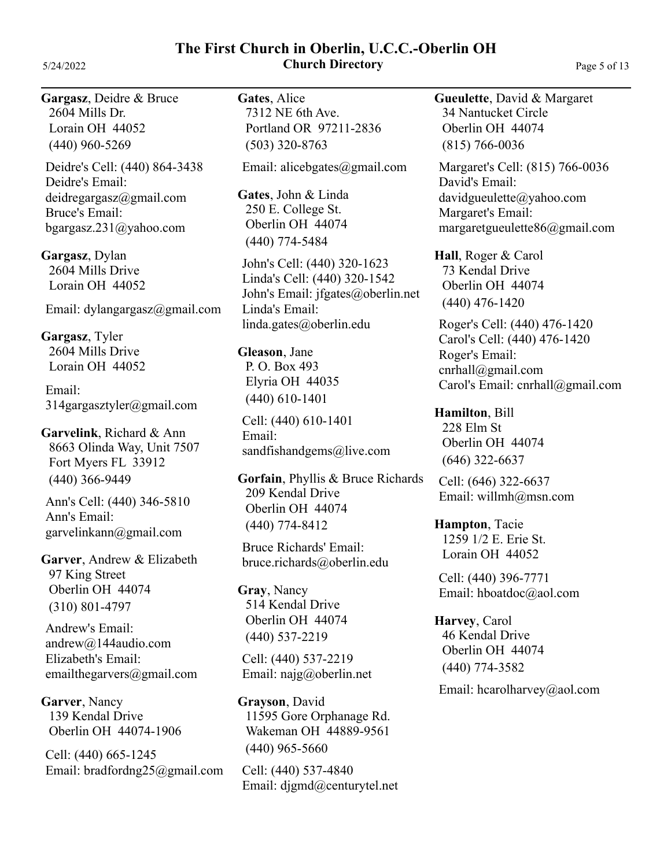**The First Church in Oberlin, U.C.C.-Oberlin OH** 5/24/2022 **Church Directory** Page 5 of 13

**Gargasz**, Deidre & Bruce (440) 960-5269 2604 Mills Dr. Lorain OH 44052

Deidre's Cell: (440) 864-3438 Deidre's Email: deidregargasz@gmail.com Bruce's Email: bgargasz.231@yahoo.com

**Gargasz**, Dylan 2604 Mills Drive Lorain OH 44052

Email: dylangargasz@gmail.com

**Gargasz**, Tyler 2604 Mills Drive Lorain OH 44052

Email: 314gargasztyler@gmail.com

**Garvelink**, Richard & Ann (440) 366-9449 8663 Olinda Way, Unit 7507 Fort Myers FL 33912

Ann's Email: garvelinkann@gmail.com Ann's Cell: (440) 346-5810

**Garver**, Andrew & Elizabeth (310) 801-4797 97 King Street Oberlin OH 44074

Andrew's Email: andrew@144audio.com Elizabeth's Email: emailthegarvers@gmail.com

**Garver**, Nancy 139 Kendal Drive Oberlin OH 44074-1906

Cell: (440) 665-1245 Email: bradfordng25@gmail.com **Gates**, Alice (503) 320-8763 7312 NE 6th Ave. Portland OR 97211-2836

Email: alicebgates@gmail.com

**Gates**, John & Linda (440) 774-5484 250 E. College St. Oberlin OH 44074

John's Cell: (440) 320-1623 John's Email: jfgates@oberlin.net Linda's Email: linda.gates@oberlin.edu Linda's Cell: (440) 320-1542

**Gleason**, Jane (440) 610-1401 P. O. Box 493 Elyria OH 44035

Cell: (440) 610-1401 Email: sandfishandgems@live.com

**Gorfain**, Phyllis & Bruce Richards (440) 774-8412 209 Kendal Drive Oberlin OH 44074

Bruce Richards' Email: bruce.richards@oberlin.edu

**Gray**, Nancy (440) 537-2219 514 Kendal Drive Oberlin OH 44074

Cell: (440) 537-2219 Email: najg@oberlin.net

**Grayson**, David (440) 965-5660 11595 Gore Orphanage Rd. Wakeman OH 44889-9561

Cell: (440) 537-4840 Email: djgmd@centurytel.net **Gueulette**, David & Margaret (815) 766-0036 34 Nantucket Circle Oberlin OH 44074

David's Email: davidgueulette@yahoo.com Margaret's Email: margaretgueulette86@gmail.com Margaret's Cell: (815) 766-0036

**Hall**, Roger & Carol (440) 476-1420 73 Kendal Drive Oberlin OH 44074

Roger's Cell: (440) 476-1420 Roger's Email: cnrhall@gmail.com Carol's Email: cnrhall@gmail.com Carol's Cell: (440) 476-1420

**Hamilton**, Bill (646) 322-6637 228 Elm St Oberlin OH 44074

Cell: (646) 322-6637 Email: willmh@msn.com

**Hampton**, Tacie 1259 1/2 E. Erie St. Lorain OH 44052

Cell: (440) 396-7771 Email: hboatdoc@aol.com

**Harvey**, Carol (440) 774-3582 46 Kendal Drive Oberlin OH 44074

Email: hcarolharvey@aol.com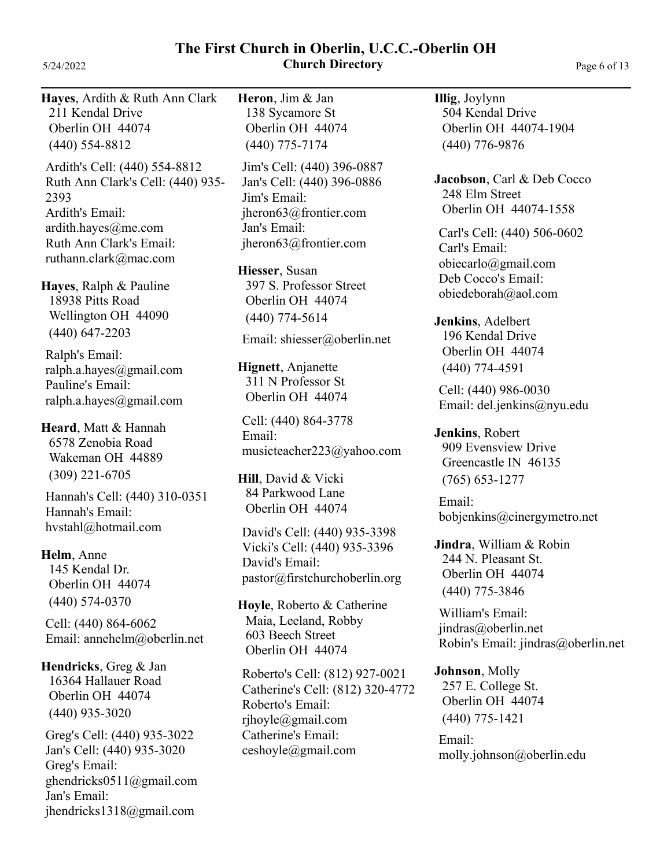### **The First Church in Oberlin, U.C.C.-Oberlin OH** 5/24/2022 **Church Directory** Page 6 of 13

**Hayes**, Ardith & Ruth Ann Clark (440) 554-8812 211 Kendal Drive Oberlin OH 44074

Ardith's Cell: (440) 554-8812 Ardith's Email: ardith.hayes@me.com Ruth Ann Clark's Email: ruthann.clark@mac.com Ruth Ann Clark's Cell: (440) 935- 2393

**Hayes**, Ralph & Pauline (440) 647-2203 18938 Pitts Road Wellington OH 44090

Ralph's Email: ralph.a.hayes@gmail.com Pauline's Email: ralph.a.hayes@gmail.com

**Heard**, Matt & Hannah (309) 221-6705 6578 Zenobia Road Wakeman OH 44889

Hannah's Email: hvstahl@hotmail.com Hannah's Cell: (440) 310-0351

# **Helm**, Anne

(440) 574-0370 145 Kendal Dr. Oberlin OH 44074

Cell: (440) 864-6062 Email: annehelm@oberlin.net

**Hendricks**, Greg & Jan (440) 935-3020 16364 Hallauer Road Oberlin OH 44074

Greg's Cell: (440) 935-3022 Greg's Email: ghendricks0511@gmail.com Jan's Email: jhendricks1318@gmail.com Jan's Cell: (440) 935-3020

**Heron**, Jim & Jan (440) 775-7174 138 Sycamore St Oberlin OH 44074

Jim's Cell: (440) 396-0887 Jim's Email: jheron63@frontier.com Jan's Email: jheron63@frontier.com Jan's Cell: (440) 396-0886

**Hiesser**, Susan (440) 774-5614 397 S. Professor Street Oberlin OH 44074

Email: shiesser@oberlin.net

**Hignett**, Anjanette 311 N Professor St Oberlin OH 44074

Cell: (440) 864-3778 Email: musicteacher223@yahoo.com

**Hill**, David & Vicki 84 Parkwood Lane Oberlin OH 44074

David's Cell: (440) 935-3398 David's Email: pastor@firstchurchoberlin.org Vicki's Cell: (440) 935-3396

**Hoyle**, Roberto & Catherine Maia, Leeland, Robby 603 Beech Street Oberlin OH 44074

Roberto's Cell: (812) 927-0021 Roberto's Email: rjhoyle@gmail.com Catherine's Email: ceshoyle@gmail.com Catherine's Cell: (812) 320-4772 **Illig**, Joylynn (440) 776-9876 504 Kendal Drive Oberlin OH 44074-1904

**Jacobson**, Carl & Deb Cocco 248 Elm Street Oberlin OH 44074-1558

Carl's Cell: (440) 506-0602 Carl's Email: obiecarlo@gmail.com Deb Cocco's Email: obiedeborah@aol.com

**Jenkins**, Adelbert (440) 774-4591 196 Kendal Drive Oberlin OH 44074

Cell: (440) 986-0030 Email: del.jenkins@nyu.edu

**Jenkins**, Robert (765) 653-1277 909 Evensview Drive Greencastle IN 46135

Email: bobjenkins@cinergymetro.net

**Jindra**, William & Robin (440) 775-3846 244 N. Pleasant St. Oberlin OH 44074

William's Email: jindras@oberlin.net Robin's Email: jindras@oberlin.net

**Johnson**, Molly (440) 775-1421 257 E. College St. Oberlin OH 44074

Email: molly.johnson@oberlin.edu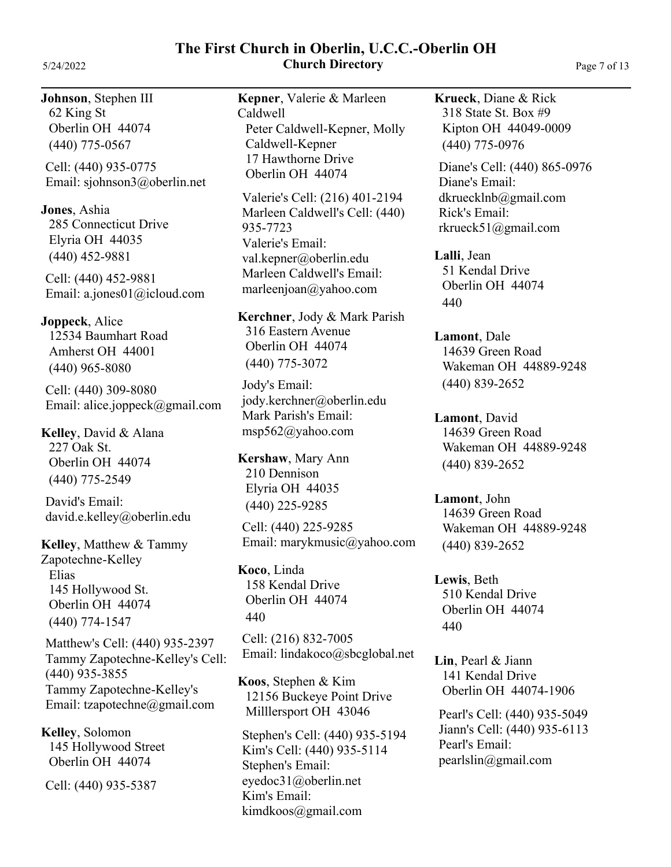### **The First Church in Oberlin, U.C.C.-Oberlin OH** 5/24/2022 **Church Directory** Page 7 of 13

**Johnson**, Stephen III (440) 775-0567 62 King St Oberlin OH 44074

Cell: (440) 935-0775 Email: sjohnson3@oberlin.net

**Jones**, Ashia (440) 452-9881 285 Connecticut Drive Elyria OH 44035

Cell: (440) 452-9881 Email: a.jones01@icloud.com

**Joppeck**, Alice (440) 965-8080 12534 Baumhart Road Amherst OH 44001

Cell: (440) 309-8080 Email: alice.joppeck@gmail.com

**Kelley**, David & Alana (440) 775-2549 227 Oak St. Oberlin OH 44074

David's Email: david.e.kelley@oberlin.edu

**Kelley**, Matthew & Tammy Zapotechne-Kelley Elias (440) 774-1547 145 Hollywood St. Oberlin OH 44074

Matthew's Cell: (440) 935-2397 Tammy Zapotechne-Kelley's Email: tzapotechne@gmail.com Tammy Zapotechne-Kelley's Cell: (440) 935-3855

**Kelley**, Solomon 145 Hollywood Street Oberlin OH 44074

Cell: (440) 935-5387

**Kepner**, Valerie & Marleen Caldwell Peter Caldwell-Kepner, Molly Caldwell-Kepner 17 Hawthorne Drive Oberlin OH 44074

Valerie's Cell: (216) 401-2194 Valerie's Email: val.kepner@oberlin.edu Marleen Caldwell's Email: marleenjoan@yahoo.com Marleen Caldwell's Cell: (440) 935-7723

**Kerchner**, Jody & Mark Parish (440) 775-3072 316 Eastern Avenue Oberlin OH 44074

Jody's Email: jody.kerchner@oberlin.edu Mark Parish's Email: msp562@yahoo.com

**Kershaw**, Mary Ann (440) 225-9285 210 Dennison Elyria OH 44035

Cell: (440) 225-9285 Email: marykmusic@yahoo.com

**Koco**, Linda 440 158 Kendal Drive Oberlin OH 44074

Cell: (216) 832-7005 Email: lindakoco@sbcglobal.net

**Koos**, Stephen & Kim 12156 Buckeye Point Drive Milllersport OH 43046

Stephen's Cell: (440) 935-5194 Stephen's Email: eyedoc31@oberlin.net Kim's Email: kimdkoos@gmail.com Kim's Cell: (440) 935-5114

**Krueck**, Diane & Rick (440) 775-0976 318 State St. Box #9 Kipton OH 44049-0009

Diane's Cell: (440) 865-0976 Diane's Email: dkruecklnb@gmail.com Rick's Email: rkrueck51@gmail.com

**Lalli**, Jean 440 51 Kendal Drive Oberlin OH 44074

**Lamont**, Dale (440) 839-2652 14639 Green Road Wakeman OH 44889-9248

**Lamont**, David (440) 839-2652 14639 Green Road Wakeman OH 44889-9248

**Lamont**, John (440) 839-2652 14639 Green Road Wakeman OH 44889-9248

**Lewis**, Beth 440 510 Kendal Drive Oberlin OH 44074

**Lin**, Pearl & Jiann 141 Kendal Drive Oberlin OH 44074-1906

Pearl's Cell: (440) 935-5049 Pearl's Email: pearlslin@gmail.com Jiann's Cell: (440) 935-6113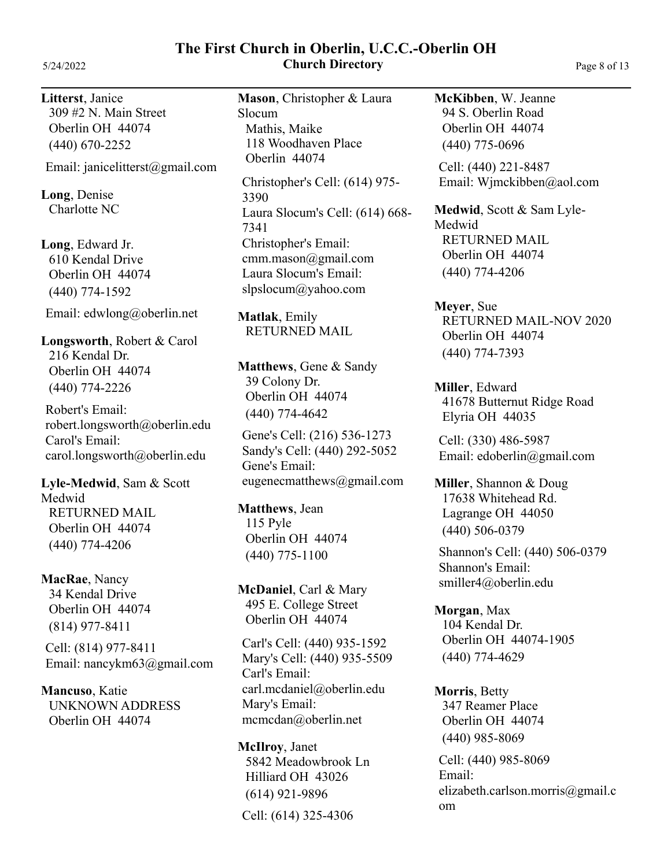**Litterst**, Janice (440) 670-2252 309 #2 N. Main Street Oberlin OH 44074

Email: janicelitterst@gmail.com

**Long**, Denise Charlotte NC

**Long**, Edward Jr. (440) 774-1592 610 Kendal Drive Oberlin OH 44074

Email: edwlong@oberlin.net

**Longsworth**, Robert & Carol (440) 774-2226 216 Kendal Dr. Oberlin OH 44074

Robert's Email: robert.longsworth@oberlin.edu Carol's Email: carol.longsworth@oberlin.edu

**Lyle-Medwid**, Sam & Scott Medwid (440) 774-4206 RETURNED MAIL Oberlin OH 44074

**MacRae**, Nancy (814) 977-8411 34 Kendal Drive Oberlin OH 44074

Cell: (814) 977-8411 Email: nancykm63@gmail.com

**Mancuso**, Katie UNKNOWN ADDRESS Oberlin OH 44074

**Mason**, Christopher & Laura Slocum Mathis, Maike 118 Woodhaven Place Oberlin 44074

**The First Church in Oberlin, U.C.C.-Oberlin OH**

Christopher's Cell: (614) 975- 3390 Christopher's Email: cmm.mason@gmail.com Laura Slocum's Email: slpslocum@yahoo.com Laura Slocum's Cell: (614) 668- 7341

**Matlak**, Emily RETURNED MAIL

**Matthews**, Gene & Sandy (440) 774-4642 39 Colony Dr. Oberlin OH 44074

Gene's Cell: (216) 536-1273 Gene's Email: eugenecmatthews@gmail.com Sandy's Cell: (440) 292-5052

**Matthews**, Jean (440) 775-1100 115 Pyle Oberlin OH 44074

**McDaniel**, Carl & Mary 495 E. College Street Oberlin OH 44074

Carl's Cell: (440) 935-1592 Carl's Email: carl.mcdaniel@oberlin.edu Mary's Email: mcmcdan@oberlin.net Mary's Cell: (440) 935-5509

**McIlroy**, Janet Cell: (614) 325-4306 (614) 921-9896 5842 Meadowbrook Ln Hilliard OH 43026

**McKibben**, W. Jeanne (440) 775-0696 94 S. Oberlin Road Oberlin OH 44074

Cell: (440) 221-8487 Email: Wjmckibben@aol.com

**Medwid**, Scott & Sam Lyle-Medwid (440) 774-4206 RETURNED MAIL Oberlin OH 44074

**Meyer**, Sue (440) 774-7393 RETURNED MAIL-NOV 2020 Oberlin OH 44074

**Miller**, Edward 41678 Butternut Ridge Road Elyria OH 44035

Cell: (330) 486-5987 Email: edoberlin@gmail.com

**Miller**, Shannon & Doug (440) 506-0379 17638 Whitehead Rd. Lagrange OH 44050

Shannon's Cell: (440) 506-0379 Shannon's Email: smiller4@oberlin.edu

**Morgan**, Max (440) 774-4629 104 Kendal Dr. Oberlin OH 44074-1905

**Morris**, Betty (440) 985-8069 347 Reamer Place Oberlin OH 44074

Cell: (440) 985-8069 Email: elizabeth.carlson.morris@gmail.c om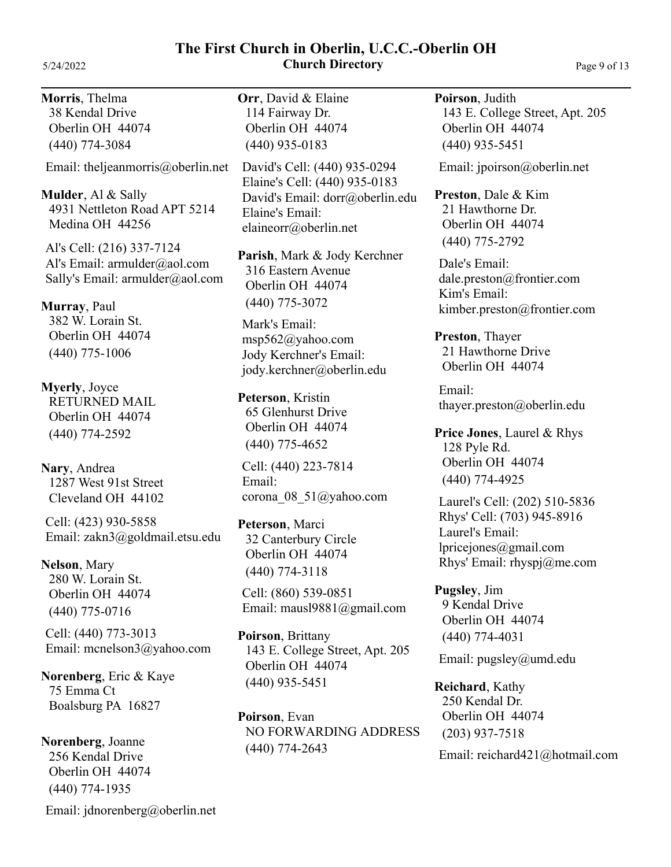## **The First Church in Oberlin, U.C.C.-Oberlin OH** 5/24/2022 **Church Directory** Page 9 of 13

**Morris**, Thelma (440) 774-3084 38 Kendal Drive Oberlin OH 44074

Email: theljeanmorris@oberlin.net

**Mulder**, Al & Sally 4931 Nettleton Road APT 5214 Medina OH 44256

Al's Cell: (216) 337-7124 Al's Email: armulder@aol.com Sally's Email: armulder@aol.com

**Murray**, Paul (440) 775-1006 382 W. Lorain St. Oberlin OH 44074

**Myerly**, Joyce (440) 774-2592 RETURNED MAIL Oberlin OH 44074

**Nary**, Andrea 1287 West 91st Street Cleveland OH 44102

Cell: (423) 930-5858 Email: zakn3@goldmail.etsu.edu

**Nelson**, Mary (440) 775-0716 280 W. Lorain St. Oberlin OH 44074

Cell: (440) 773-3013 Email: mcnelson3@yahoo.com

**Norenberg**, Eric & Kaye 75 Emma Ct Boalsburg PA 16827

**Norenberg**, Joanne (440) 774-1935 256 Kendal Drive Oberlin OH 44074

Email: jdnorenberg@oberlin.net

**Orr**, David & Elaine (440) 935-0183 114 Fairway Dr. Oberlin OH 44074

David's Cell: (440) 935-0294 David's Email: dorr@oberlin.edu Elaine's Email: elaineorr@oberlin.net Elaine's Cell: (440) 935-0183

**Parish**, Mark & Jody Kerchner (440) 775-3072 316 Eastern Avenue Oberlin OH 44074

Mark's Email: msp562@yahoo.com Jody Kerchner's Email: jody.kerchner@oberlin.edu

**Peterson**, Kristin (440) 775-4652 65 Glenhurst Drive Oberlin OH 44074

Cell: (440) 223-7814 Email: corona\_08\_51@yahoo.com

**Peterson**, Marci (440) 774-3118 32 Canterbury Circle Oberlin OH 44074

Cell: (860) 539-0851 Email: mausl9881@gmail.com

**Poirson**, Brittany (440) 935-5451 143 E. College Street, Apt. 205 Oberlin OH 44074

**Poirson**, Evan (440) 774-2643 NO FORWARDING ADDRESS **Poirson**, Judith (440) 935-5451 143 E. College Street, Apt. 205 Oberlin OH 44074

Email: jpoirson@oberlin.net

**Preston**, Dale & Kim (440) 775-2792 21 Hawthorne Dr. Oberlin OH 44074

Dale's Email: dale.preston@frontier.com Kim's Email: kimber.preston@frontier.com

**Preston**, Thayer 21 Hawthorne Drive Oberlin OH 44074

Email: thayer.preston@oberlin.edu

**Price Jones**, Laurel & Rhys (440) 774-4925 128 Pyle Rd. Oberlin OH 44074

Laurel's Cell: (202) 510-5836 Laurel's Email: lpricejones@gmail.com Rhys' Email: rhyspj@me.com Rhys' Cell: (703) 945-8916

**Pugsley**, Jim (440) 774-4031 9 Kendal Drive Oberlin OH 44074

Email: pugsley@umd.edu

**Reichard**, Kathy (203) 937-7518 250 Kendal Dr. Oberlin OH 44074

Email: reichard421@hotmail.com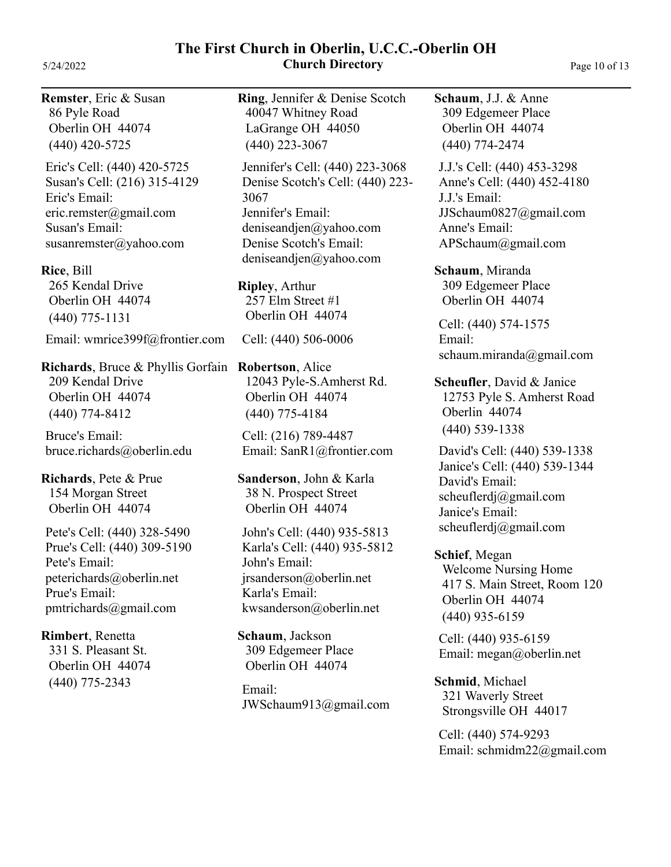**The First Church in Oberlin, U.C.C.-Oberlin OH** 5/24/2022 **Church Directory** Page 10 of 13

**Remster**, Eric & Susan (440) 420-5725 86 Pyle Road Oberlin OH 44074

Eric's Cell: (440) 420-5725 Eric's Email: eric.remster@gmail.com Susan's Email: susanremster@yahoo.com Susan's Cell: (216) 315-4129

**Rice**, Bill (440) 775-1131 265 Kendal Drive Oberlin OH 44074

Email: wmrice399f@frontier.com

**Richards**, Bruce & Phyllis Gorfain (440) 774-8412 209 Kendal Drive Oberlin OH 44074

Bruce's Email: bruce.richards@oberlin.edu

**Richards**, Pete & Prue 154 Morgan Street Oberlin OH 44074

Pete's Cell: (440) 328-5490 Pete's Email: peterichards@oberlin.net Prue's Email: pmtrichards@gmail.com Prue's Cell: (440) 309-5190

**Rimbert**, Renetta (440) 775-2343 331 S. Pleasant St. Oberlin OH 44074 **Ring**, Jennifer & Denise Scotch (440) 223-3067 40047 Whitney Road LaGrange OH 44050

Jennifer's Cell: (440) 223-3068 Jennifer's Email: deniseandjen@yahoo.com Denise Scotch's Email: deniseandjen@yahoo.com Denise Scotch's Cell: (440) 223- 3067

**Ripley**, Arthur 257 Elm Street #1 Oberlin OH 44074

Cell: (440) 506-0006

**Robertson**, Alice (440) 775-4184 12043 Pyle-S.Amherst Rd. Oberlin OH 44074

Cell: (216) 789-4487 Email: SanR1@frontier.com

**Sanderson**, John & Karla 38 N. Prospect Street Oberlin OH 44074

John's Cell: (440) 935-5813 John's Email: jrsanderson@oberlin.net Karla's Email: kwsanderson@oberlin.net Karla's Cell: (440) 935-5812

**Schaum**, Jackson 309 Edgemeer Place Oberlin OH 44074

Email: JWSchaum913@gmail.com **Schaum**, J.J. & Anne (440) 774-2474 309 Edgemeer Place Oberlin OH 44074

J.J.'s Cell: (440) 453-3298 J.J.'s Email: JJSchaum0827@gmail.com Anne's Email: APSchaum@gmail.com Anne's Cell: (440) 452-4180

**Schaum**, Miranda 309 Edgemeer Place Oberlin OH 44074

Cell: (440) 574-1575 Email: schaum.miranda@gmail.com

**Scheufler**, David & Janice (440) 539-1338 12753 Pyle S. Amherst Road Oberlin 44074

David's Cell: (440) 539-1338 David's Email: scheuflerdj@gmail.com Janice's Email: scheuflerdj@gmail.com Janice's Cell: (440) 539-1344

**Schief**, Megan (440) 935-6159 Welcome Nursing Home 417 S. Main Street, Room 120 Oberlin OH 44074

Cell: (440) 935-6159 Email: megan@oberlin.net

**Schmid**, Michael 321 Waverly Street Strongsville OH 44017

Cell: (440) 574-9293 Email: schmidm22@gmail.com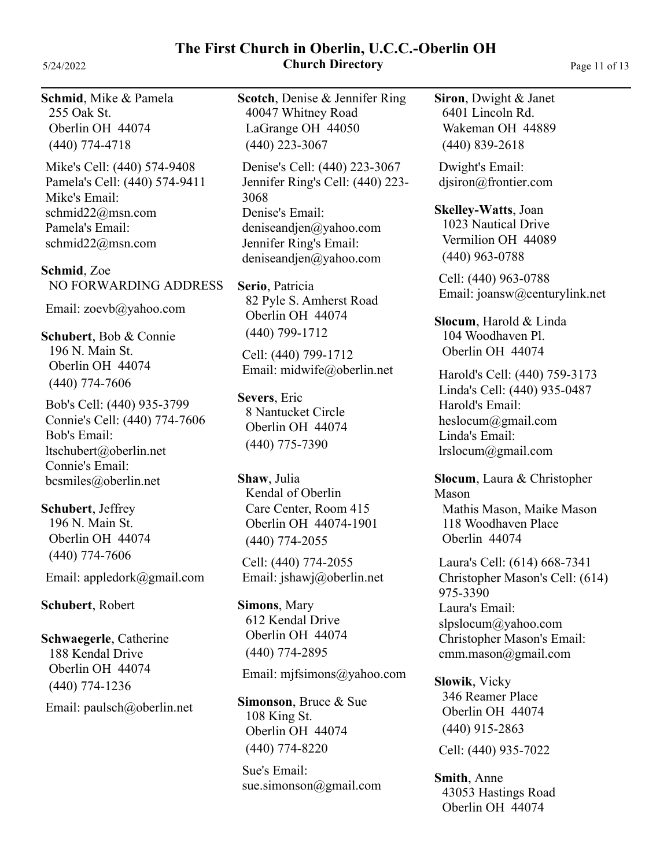**The First Church in Oberlin, U.C.C.-Oberlin OH** 5/24/2022 **Church Directory** Page 11 of 13

**Schmid**, Mike & Pamela (440) 774-4718 255 Oak St. Oberlin OH 44074

Mike's Cell: (440) 574-9408 Mike's Email: schmid22@msn.com Pamela's Email: schmid22@msn.com Pamela's Cell: (440) 574-9411

**Schmid**, Zoe NO FORWARDING ADDRESS

Email: zoevb@yahoo.com

**Schubert**, Bob & Connie (440) 774-7606 196 N. Main St. Oberlin OH 44074

Bob's Cell: (440) 935-3799 Bob's Email: ltschubert@oberlin.net Connie's Email: bcsmiles@oberlin.net Connie's Cell: (440) 774-7606

**Schubert**, Jeffrey (440) 774-7606 196 N. Main St. Oberlin OH 44074

Email: appledork@gmail.com

**Schubert**, Robert

**Schwaegerle**, Catherine (440) 774-1236 188 Kendal Drive Oberlin OH 44074

Email: paulsch@oberlin.net

**Scotch**, Denise & Jennifer Ring (440) 223-3067 40047 Whitney Road LaGrange OH 44050

Denise's Cell: (440) 223-3067 Denise's Email: deniseandjen@yahoo.com Jennifer Ring's Email: deniseandjen@yahoo.com Jennifer Ring's Cell: (440) 223- 3068

**Serio**, Patricia (440) 799-1712 82 Pyle S. Amherst Road Oberlin OH 44074

Cell: (440) 799-1712 Email: midwife@oberlin.net

**Severs**, Eric (440) 775-7390 8 Nantucket Circle Oberlin OH 44074

**Shaw**, Julia (440) 774-2055 Kendal of Oberlin Care Center, Room 415 Oberlin OH 44074-1901

Cell: (440) 774-2055 Email: jshawj@oberlin.net

**Simons**, Mary (440) 774-2895 612 Kendal Drive Oberlin OH 44074

Email: mjfsimons@yahoo.com

**Simonson**, Bruce & Sue (440) 774-8220 108 King St. Oberlin OH 44074

Sue's Email: sue.simonson@gmail.com **Siron**, Dwight & Janet (440) 839-2618 6401 Lincoln Rd. Wakeman OH 44889

Dwight's Email: djsiron@frontier.com

**Skelley-Watts**, Joan

(440) 963-0788 1023 Nautical Drive Vermilion OH 44089

Cell: (440) 963-0788 Email: joansw@centurylink.net

**Slocum**, Harold & Linda 104 Woodhaven Pl. Oberlin OH 44074

Harold's Cell: (440) 759-3173 Harold's Email: heslocum@gmail.com Linda's Email: lrslocum@gmail.com Linda's Cell: (440) 935-0487

**Slocum**, Laura & Christopher Mason Mathis Mason, Maike Mason 118 Woodhaven Place Oberlin 44074

Laura's Cell: (614) 668-7341 Laura's Email: slpslocum@yahoo.com Christopher Mason's Email: cmm.mason@gmail.com Christopher Mason's Cell: (614) 975-3390

**Slowik**, Vicky Cell: (440) 935-7022 (440) 915-2863 346 Reamer Place Oberlin OH 44074

**Smith**, Anne 43053 Hastings Road Oberlin OH 44074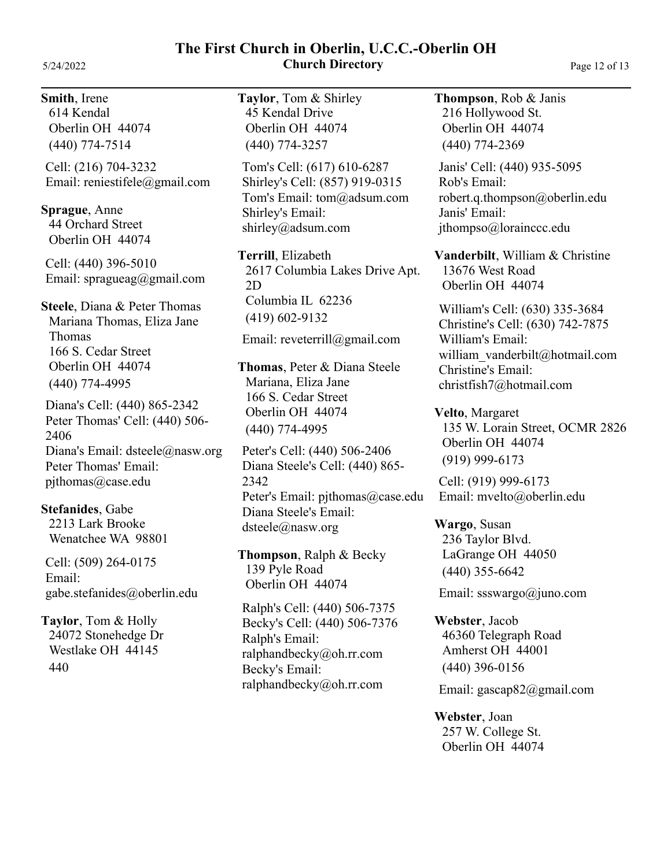### **Smith**, Irene

(440) 774-7514 614 Kendal Oberlin OH 44074

Cell: (216) 704-3232 Email: reniestifele@gmail.com

**Sprague**, Anne 44 Orchard Street Oberlin OH 44074

Cell: (440) 396-5010 Email: spragueag@gmail.com

**Steele**, Diana & Peter Thomas Mariana Thomas, Eliza Jane Thomas (440) 774-4995 166 S. Cedar Street Oberlin OH 44074

Diana's Cell: (440) 865-2342 Diana's Email: dsteele@nasw.org Peter Thomas' Email: pjthomas@case.edu Peter Thomas' Cell: (440) 506- 2406

**Stefanides**, Gabe 2213 Lark Brooke Wenatchee WA 98801

Cell: (509) 264-0175 Email: gabe.stefanides@oberlin.edu

**Taylor**, Tom & Holly 440 24072 Stonehedge Dr Westlake OH 44145

**Taylor**, Tom & Shirley 45 Kendal Drive Oberlin OH 44074

(440) 774-3257

**The First Church in Oberlin, U.C.C.-Oberlin OH**

Tom's Cell: (617) 610-6287 Tom's Email: tom@adsum.com Shirley's Email: shirley@adsum.com Shirley's Cell: (857) 919-0315

**Terrill**, Elizabeth (419) 602-9132 2617 Columbia Lakes Drive Apt. 2D Columbia IL 62236

Email: reveterrill@gmail.com

**Thomas**, Peter & Diana Steele Mariana, Eliza Jane (440) 774-4995 166 S. Cedar Street Oberlin OH 44074

Peter's Cell: (440) 506-2406 Peter's Email: pjthomas@case.edu Diana Steele's Email: dsteele@nasw.org Diana Steele's Cell: (440) 865- 2342

**Thompson**, Ralph & Becky 139 Pyle Road Oberlin OH 44074

Ralph's Cell: (440) 506-7375 Ralph's Email: ralphandbecky@oh.rr.com Becky's Email: ralphandbecky@oh.rr.com Becky's Cell: (440) 506-7376 **Thompson**, Rob & Janis (440) 774-2369 216 Hollywood St. Oberlin OH 44074

Rob's Email: robert.q.thompson@oberlin.edu Janis' Email: jthompso@lorainccc.edu Janis' Cell: (440) 935-5095

**Vanderbilt**, William & Christine 13676 West Road Oberlin OH 44074

William's Cell: (630) 335-3684 William's Email: william\_vanderbilt@hotmail.com Christine's Email: christfish7@hotmail.com Christine's Cell: (630) 742-7875

**Velto**, Margaret (919) 999-6173 135 W. Lorain Street, OCMR 2826 Oberlin OH 44074

Cell: (919) 999-6173 Email: mvelto@oberlin.edu

**Wargo**, Susan (440) 355-6642 236 Taylor Blvd. LaGrange OH 44050

Email: ssswargo@juno.com

**Webster**, Jacob (440) 396-0156 46360 Telegraph Road Amherst OH 44001

Email: gascap82@gmail.com

**Webster**, Joan 257 W. College St. Oberlin OH 44074